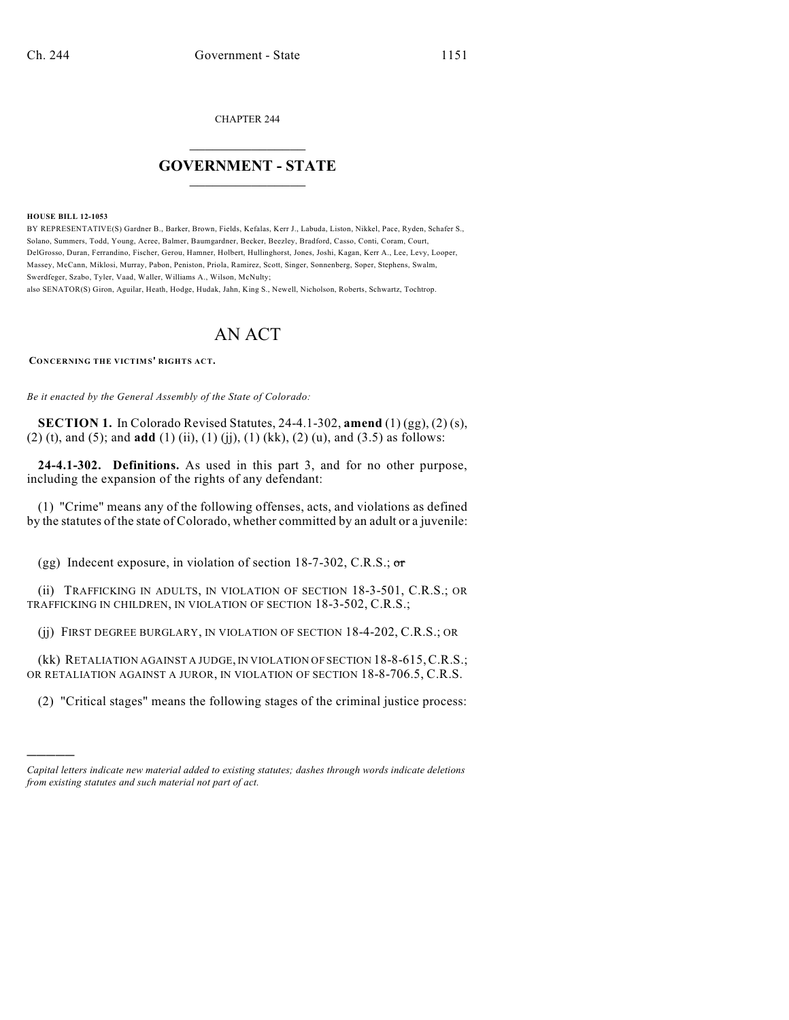CHAPTER 244

## $\overline{\phantom{a}}$  . The set of the set of the set of the set of the set of the set of the set of the set of the set of the set of the set of the set of the set of the set of the set of the set of the set of the set of the set o **GOVERNMENT - STATE**  $\_$

**HOUSE BILL 12-1053**

)))))

BY REPRESENTATIVE(S) Gardner B., Barker, Brown, Fields, Kefalas, Kerr J., Labuda, Liston, Nikkel, Pace, Ryden, Schafer S., Solano, Summers, Todd, Young, Acree, Balmer, Baumgardner, Becker, Beezley, Bradford, Casso, Conti, Coram, Court, DelGrosso, Duran, Ferrandino, Fischer, Gerou, Hamner, Holbert, Hullinghorst, Jones, Joshi, Kagan, Kerr A., Lee, Levy, Looper, Massey, McCann, Miklosi, Murray, Pabon, Peniston, Priola, Ramirez, Scott, Singer, Sonnenberg, Soper, Stephens, Swalm, Swerdfeger, Szabo, Tyler, Vaad, Waller, Williams A., Wilson, McNulty;

also SENATOR(S) Giron, Aguilar, Heath, Hodge, Hudak, Jahn, King S., Newell, Nicholson, Roberts, Schwartz, Tochtrop.

## AN ACT

**CONCERNING THE VICTIMS' RIGHTS ACT.**

*Be it enacted by the General Assembly of the State of Colorado:*

**SECTION 1.** In Colorado Revised Statutes, 24-4.1-302, **amend** (1) (gg), (2) (s), (2) (t), and (5); and **add** (1) (ii), (1) (jj), (1) (kk), (2) (u), and (3.5) as follows:

**24-4.1-302. Definitions.** As used in this part 3, and for no other purpose, including the expansion of the rights of any defendant:

(1) "Crime" means any of the following offenses, acts, and violations as defined by the statutes of the state of Colorado, whether committed by an adult or a juvenile:

(gg) Indecent exposure, in violation of section  $18-7-302$ , C.R.S.; or

(ii) TRAFFICKING IN ADULTS, IN VIOLATION OF SECTION 18-3-501, C.R.S.; OR TRAFFICKING IN CHILDREN, IN VIOLATION OF SECTION 18-3-502, C.R.S.;

(jj) FIRST DEGREE BURGLARY, IN VIOLATION OF SECTION 18-4-202, C.R.S.; OR

(kk) RETALIATION AGAINST A JUDGE, IN VIOLATION OF SECTION 18-8-615,C.R.S.; OR RETALIATION AGAINST A JUROR, IN VIOLATION OF SECTION 18-8-706.5, C.R.S.

(2) "Critical stages" means the following stages of the criminal justice process:

*Capital letters indicate new material added to existing statutes; dashes through words indicate deletions from existing statutes and such material not part of act.*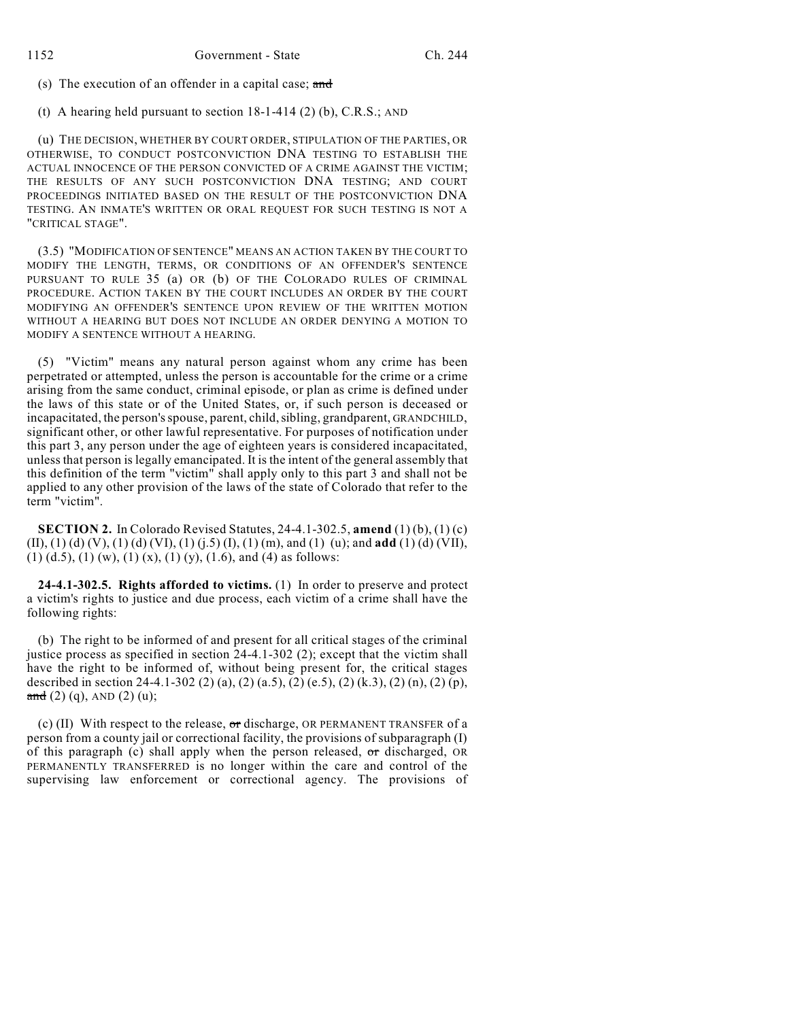(s) The execution of an offender in a capital case; and

(t) A hearing held pursuant to section  $18-1-414$  (2) (b), C.R.S.; AND

(u) THE DECISION, WHETHER BY COURT ORDER, STIPULATION OF THE PARTIES, OR OTHERWISE, TO CONDUCT POSTCONVICTION DNA TESTING TO ESTABLISH THE ACTUAL INNOCENCE OF THE PERSON CONVICTED OF A CRIME AGAINST THE VICTIM; THE RESULTS OF ANY SUCH POSTCONVICTION DNA TESTING; AND COURT PROCEEDINGS INITIATED BASED ON THE RESULT OF THE POSTCONVICTION DNA TESTING. AN INMATE'S WRITTEN OR ORAL REQUEST FOR SUCH TESTING IS NOT A "CRITICAL STAGE".

(3.5) "MODIFICATION OF SENTENCE" MEANS AN ACTION TAKEN BY THE COURT TO MODIFY THE LENGTH, TERMS, OR CONDITIONS OF AN OFFENDER'S SENTENCE PURSUANT TO RULE 35 (a) OR (b) OF THE COLORADO RULES OF CRIMINAL PROCEDURE. ACTION TAKEN BY THE COURT INCLUDES AN ORDER BY THE COURT MODIFYING AN OFFENDER'S SENTENCE UPON REVIEW OF THE WRITTEN MOTION WITHOUT A HEARING BUT DOES NOT INCLUDE AN ORDER DENYING A MOTION TO MODIFY A SENTENCE WITHOUT A HEARING.

(5) "Victim" means any natural person against whom any crime has been perpetrated or attempted, unless the person is accountable for the crime or a crime arising from the same conduct, criminal episode, or plan as crime is defined under the laws of this state or of the United States, or, if such person is deceased or incapacitated, the person'sspouse, parent, child, sibling, grandparent, GRANDCHILD, significant other, or other lawful representative. For purposes of notification under this part 3, any person under the age of eighteen years is considered incapacitated, unlessthat person is legally emancipated. It is the intent of the general assembly that this definition of the term "victim" shall apply only to this part 3 and shall not be applied to any other provision of the laws of the state of Colorado that refer to the term "victim".

**SECTION 2.** In Colorado Revised Statutes, 24-4.1-302.5, **amend** (1) (b), (1) (c) (II), (1) (d) (V), (1) (d) (VI), (1) (j.5) (I), (1) (m), and (1) (u); and **add** (1) (d) (VII),  $(1)$  (d.5), (1) (w), (1) (x), (1) (y), (1.6), and (4) as follows:

**24-4.1-302.5. Rights afforded to victims.** (1) In order to preserve and protect a victim's rights to justice and due process, each victim of a crime shall have the following rights:

(b) The right to be informed of and present for all critical stages of the criminal justice process as specified in section 24-4.1-302 (2); except that the victim shall have the right to be informed of, without being present for, the critical stages described in section 24-4.1-302 (2) (a), (2) (a.5), (2) (e.5), (2) (k.3), (2) (n), (2) (p),  $\frac{1}{\text{and}}$  (2) (q), AND (2) (u);

(c) (II) With respect to the release, or discharge, OR PERMANENT TRANSFER of a person from a county jail or correctional facility, the provisions of subparagraph (I) of this paragraph (c) shall apply when the person released,  $\sigma$ r discharged, OR PERMANENTLY TRANSFERRED is no longer within the care and control of the supervising law enforcement or correctional agency. The provisions of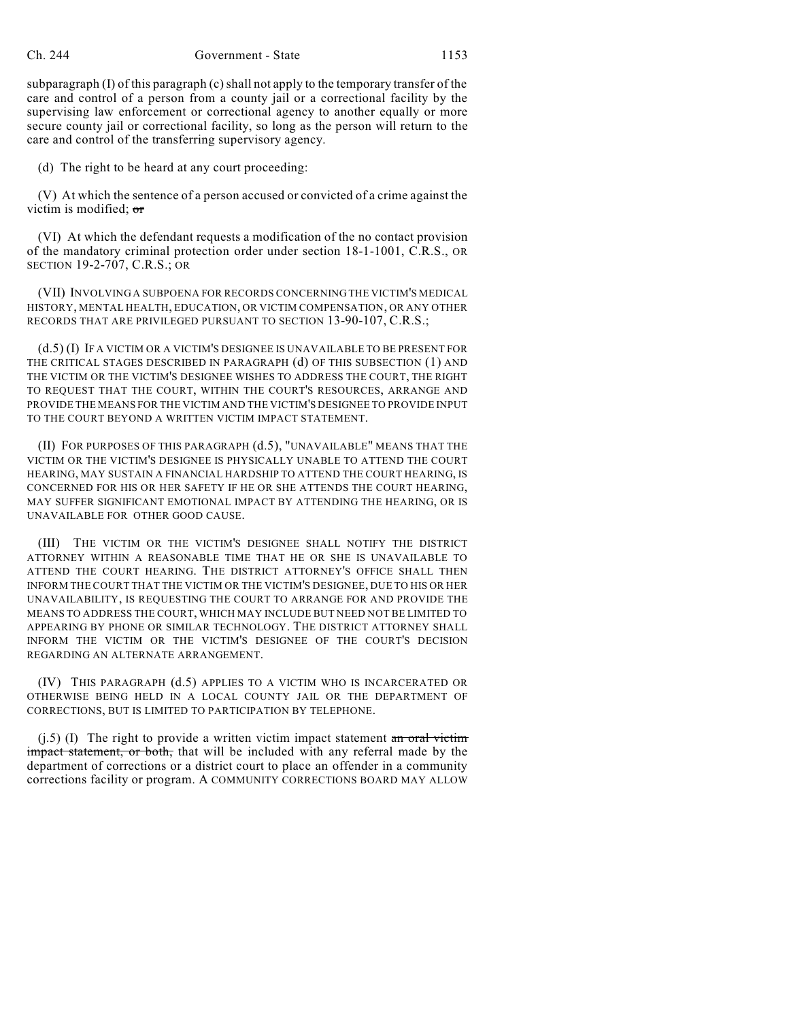subparagraph  $(I)$  of this paragraph  $(c)$  shall not apply to the temporary transfer of the care and control of a person from a county jail or a correctional facility by the supervising law enforcement or correctional agency to another equally or more secure county jail or correctional facility, so long as the person will return to the care and control of the transferring supervisory agency.

(d) The right to be heard at any court proceeding:

(V) At which the sentence of a person accused or convicted of a crime against the victim is modified; or

(VI) At which the defendant requests a modification of the no contact provision of the mandatory criminal protection order under section 18-1-1001, C.R.S., OR SECTION 19-2-707, C.R.S.; OR

(VII) INVOLVING A SUBPOENA FOR RECORDS CONCERNING THE VICTIM'S MEDICAL HISTORY, MENTAL HEALTH, EDUCATION, OR VICTIM COMPENSATION, OR ANY OTHER RECORDS THAT ARE PRIVILEGED PURSUANT TO SECTION 13-90-107, C.R.S.;

(d.5) (I) IF A VICTIM OR A VICTIM'S DESIGNEE IS UNAVAILABLE TO BE PRESENT FOR THE CRITICAL STAGES DESCRIBED IN PARAGRAPH (d) OF THIS SUBSECTION (1) AND THE VICTIM OR THE VICTIM'S DESIGNEE WISHES TO ADDRESS THE COURT, THE RIGHT TO REQUEST THAT THE COURT, WITHIN THE COURT'S RESOURCES, ARRANGE AND PROVIDE THE MEANS FOR THE VICTIM AND THE VICTIM'S DESIGNEE TO PROVIDE INPUT TO THE COURT BEYOND A WRITTEN VICTIM IMPACT STATEMENT.

(II) FOR PURPOSES OF THIS PARAGRAPH (d.5), "UNAVAILABLE" MEANS THAT THE VICTIM OR THE VICTIM'S DESIGNEE IS PHYSICALLY UNABLE TO ATTEND THE COURT HEARING, MAY SUSTAIN A FINANCIAL HARDSHIP TO ATTEND THE COURT HEARING, IS CONCERNED FOR HIS OR HER SAFETY IF HE OR SHE ATTENDS THE COURT HEARING, MAY SUFFER SIGNIFICANT EMOTIONAL IMPACT BY ATTENDING THE HEARING, OR IS UNAVAILABLE FOR OTHER GOOD CAUSE.

(III) THE VICTIM OR THE VICTIM'S DESIGNEE SHALL NOTIFY THE DISTRICT ATTORNEY WITHIN A REASONABLE TIME THAT HE OR SHE IS UNAVAILABLE TO ATTEND THE COURT HEARING. THE DISTRICT ATTORNEY'S OFFICE SHALL THEN INFORM THE COURT THAT THE VICTIM OR THE VICTIM'S DESIGNEE, DUE TO HIS OR HER UNAVAILABILITY, IS REQUESTING THE COURT TO ARRANGE FOR AND PROVIDE THE MEANS TO ADDRESS THE COURT, WHICH MAY INCLUDE BUT NEED NOT BE LIMITED TO APPEARING BY PHONE OR SIMILAR TECHNOLOGY. THE DISTRICT ATTORNEY SHALL INFORM THE VICTIM OR THE VICTIM'S DESIGNEE OF THE COURT'S DECISION REGARDING AN ALTERNATE ARRANGEMENT.

(IV) THIS PARAGRAPH (d.5) APPLIES TO A VICTIM WHO IS INCARCERATED OR OTHERWISE BEING HELD IN A LOCAL COUNTY JAIL OR THE DEPARTMENT OF CORRECTIONS, BUT IS LIMITED TO PARTICIPATION BY TELEPHONE.

 $(j.5)$  (I) The right to provide a written victim impact statement an oral victim impact statement, or both, that will be included with any referral made by the department of corrections or a district court to place an offender in a community corrections facility or program. A COMMUNITY CORRECTIONS BOARD MAY ALLOW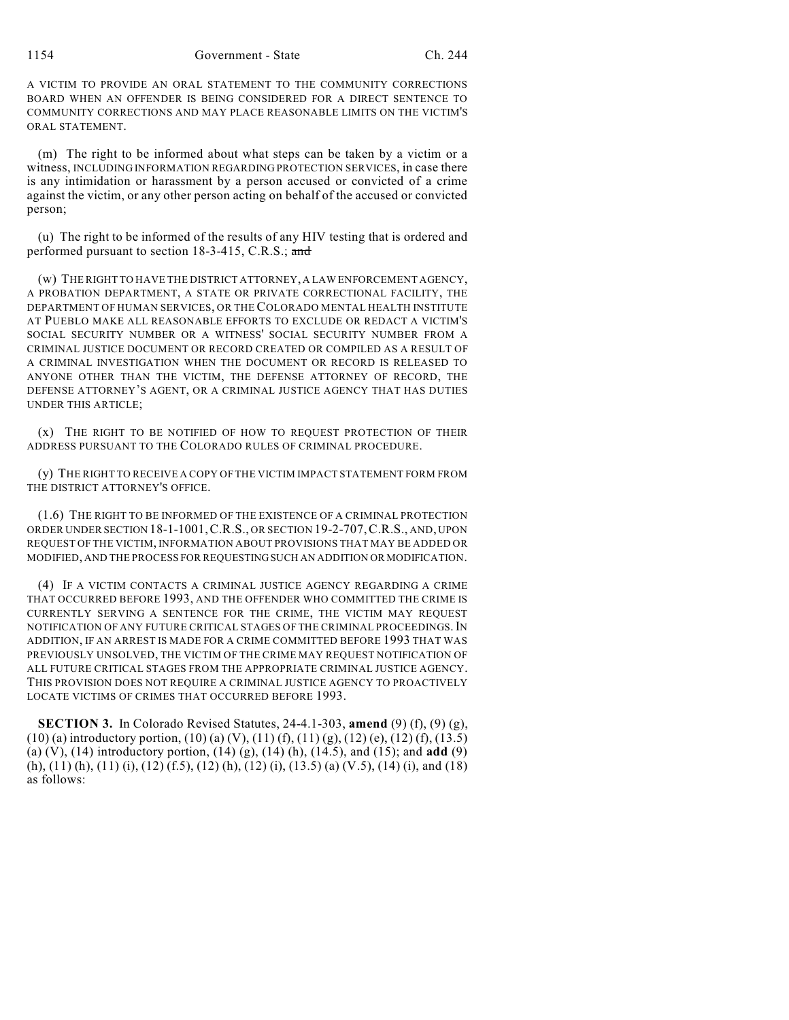A VICTIM TO PROVIDE AN ORAL STATEMENT TO THE COMMUNITY CORRECTIONS BOARD WHEN AN OFFENDER IS BEING CONSIDERED FOR A DIRECT SENTENCE TO COMMUNITY CORRECTIONS AND MAY PLACE REASONABLE LIMITS ON THE VICTIM'S ORAL STATEMENT.

(m) The right to be informed about what steps can be taken by a victim or a witness, INCLUDING INFORMATION REGARDING PROTECTION SERVICES, in case there is any intimidation or harassment by a person accused or convicted of a crime against the victim, or any other person acting on behalf of the accused or convicted person;

(u) The right to be informed of the results of any HIV testing that is ordered and performed pursuant to section 18-3-415, C.R.S.; and

(w) THE RIGHT TO HAVE THE DISTRICT ATTORNEY, A LAW ENFORCEMENT AGENCY, A PROBATION DEPARTMENT, A STATE OR PRIVATE CORRECTIONAL FACILITY, THE DEPARTMENT OF HUMAN SERVICES, OR THE COLORADO MENTAL HEALTH INSTITUTE AT PUEBLO MAKE ALL REASONABLE EFFORTS TO EXCLUDE OR REDACT A VICTIM'S SOCIAL SECURITY NUMBER OR A WITNESS' SOCIAL SECURITY NUMBER FROM A CRIMINAL JUSTICE DOCUMENT OR RECORD CREATED OR COMPILED AS A RESULT OF A CRIMINAL INVESTIGATION WHEN THE DOCUMENT OR RECORD IS RELEASED TO ANYONE OTHER THAN THE VICTIM, THE DEFENSE ATTORNEY OF RECORD, THE DEFENSE ATTORNEY'S AGENT, OR A CRIMINAL JUSTICE AGENCY THAT HAS DUTIES UNDER THIS ARTICLE;

(x) THE RIGHT TO BE NOTIFIED OF HOW TO REQUEST PROTECTION OF THEIR ADDRESS PURSUANT TO THE COLORADO RULES OF CRIMINAL PROCEDURE.

(y) THE RIGHT TO RECEIVE A COPY OF THE VICTIM IMPACT STATEMENT FORM FROM THE DISTRICT ATTORNEY'S OFFICE.

(1.6) THE RIGHT TO BE INFORMED OF THE EXISTENCE OF A CRIMINAL PROTECTION ORDER UNDER SECTION 18-1-1001,C.R.S., OR SECTION 19-2-707,C.R.S., AND, UPON REQUEST OF THE VICTIM, INFORMATION ABOUT PROVISIONS THAT MAY BE ADDED OR MODIFIED, AND THE PROCESS FOR REQUESTINGSUCH AN ADDITION OR MODIFICATION.

(4) IF A VICTIM CONTACTS A CRIMINAL JUSTICE AGENCY REGARDING A CRIME THAT OCCURRED BEFORE 1993, AND THE OFFENDER WHO COMMITTED THE CRIME IS CURRENTLY SERVING A SENTENCE FOR THE CRIME, THE VICTIM MAY REQUEST NOTIFICATION OF ANY FUTURE CRITICAL STAGES OF THE CRIMINAL PROCEEDINGS.IN ADDITION, IF AN ARREST IS MADE FOR A CRIME COMMITTED BEFORE 1993 THAT WAS PREVIOUSLY UNSOLVED, THE VICTIM OF THE CRIME MAY REQUEST NOTIFICATION OF ALL FUTURE CRITICAL STAGES FROM THE APPROPRIATE CRIMINAL JUSTICE AGENCY. THIS PROVISION DOES NOT REQUIRE A CRIMINAL JUSTICE AGENCY TO PROACTIVELY LOCATE VICTIMS OF CRIMES THAT OCCURRED BEFORE 1993.

**SECTION 3.** In Colorado Revised Statutes, 24-4.1-303, **amend** (9) (f), (9) (g),  $(10)$  (a) introductory portion,  $(10)$  (a) (V),  $(11)$  (f),  $(11)$  (g),  $(12)$  (e),  $(12)$  (f),  $(13.5)$ (a) (V), (14) introductory portion, (14) (g), (14) (h), (14.5), and (15); and **add** (9) (h), (11) (h), (11) (i), (12) (f.5), (12) (h), (12) (i), (13.5) (a) (V.5), (14) (i), and (18) as follows: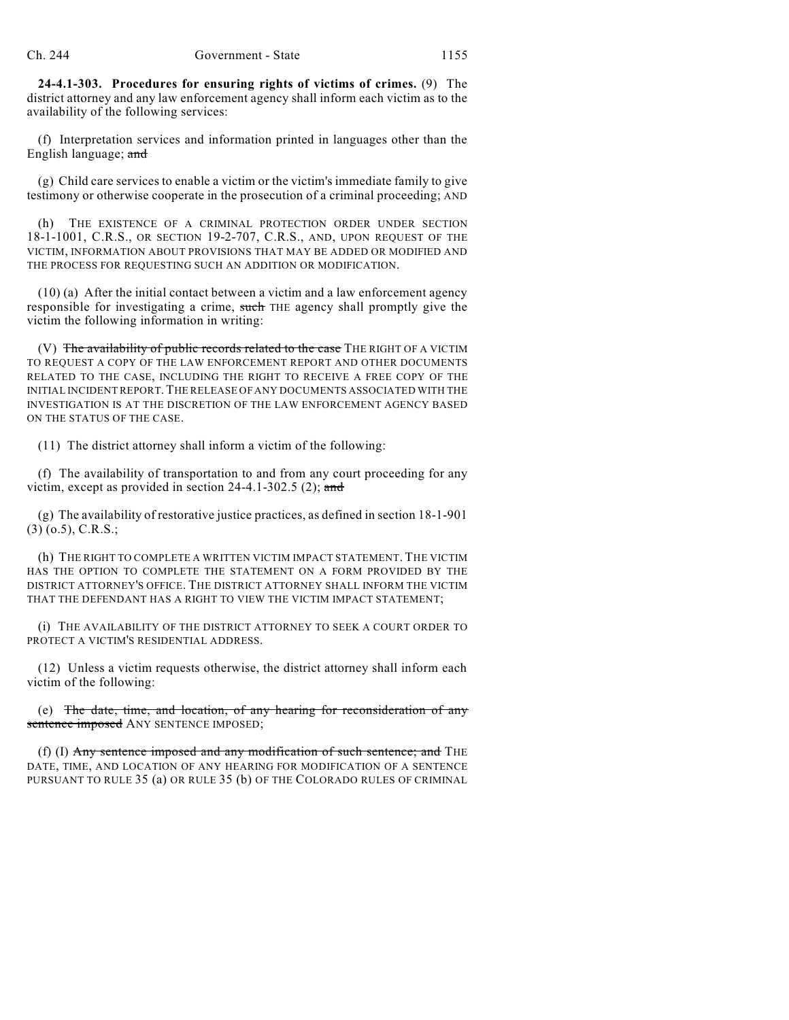**24-4.1-303. Procedures for ensuring rights of victims of crimes.** (9) The district attorney and any law enforcement agency shall inform each victim as to the availability of the following services:

(f) Interpretation services and information printed in languages other than the English language; and

(g) Child care services to enable a victim or the victim's immediate family to give testimony or otherwise cooperate in the prosecution of a criminal proceeding; AND

(h) THE EXISTENCE OF A CRIMINAL PROTECTION ORDER UNDER SECTION 18-1-1001, C.R.S., OR SECTION 19-2-707, C.R.S., AND, UPON REQUEST OF THE VICTIM, INFORMATION ABOUT PROVISIONS THAT MAY BE ADDED OR MODIFIED AND THE PROCESS FOR REQUESTING SUCH AN ADDITION OR MODIFICATION.

(10) (a) After the initial contact between a victim and a law enforcement agency responsible for investigating a crime, such THE agency shall promptly give the victim the following information in writing:

(V) The availability of public records related to the case THE RIGHT OF A VICTIM TO REQUEST A COPY OF THE LAW ENFORCEMENT REPORT AND OTHER DOCUMENTS RELATED TO THE CASE, INCLUDING THE RIGHT TO RECEIVE A FREE COPY OF THE INITIAL INCIDENT REPORT.THE RELEASE OF ANY DOCUMENTS ASSOCIATED WITH THE INVESTIGATION IS AT THE DISCRETION OF THE LAW ENFORCEMENT AGENCY BASED ON THE STATUS OF THE CASE.

(11) The district attorney shall inform a victim of the following:

(f) The availability of transportation to and from any court proceeding for any victim, except as provided in section 24-4.1-302.5 (2); and

(g) The availability of restorative justice practices, as defined in section 18-1-901 (3) (o.5), C.R.S.;

(h) THE RIGHT TO COMPLETE A WRITTEN VICTIM IMPACT STATEMENT. THE VICTIM HAS THE OPTION TO COMPLETE THE STATEMENT ON A FORM PROVIDED BY THE DISTRICT ATTORNEY'S OFFICE. THE DISTRICT ATTORNEY SHALL INFORM THE VICTIM THAT THE DEFENDANT HAS A RIGHT TO VIEW THE VICTIM IMPACT STATEMENT;

(i) THE AVAILABILITY OF THE DISTRICT ATTORNEY TO SEEK A COURT ORDER TO PROTECT A VICTIM'S RESIDENTIAL ADDRESS.

(12) Unless a victim requests otherwise, the district attorney shall inform each victim of the following:

(e) The date, time, and location, of any hearing for reconsideration of any sentence imposed ANY SENTENCE IMPOSED;

(f) (I)  $\overline{Any}$  sentence imposed and any modification of such sentence; and THE DATE, TIME, AND LOCATION OF ANY HEARING FOR MODIFICATION OF A SENTENCE PURSUANT TO RULE 35 (a) OR RULE 35 (b) OF THE COLORADO RULES OF CRIMINAL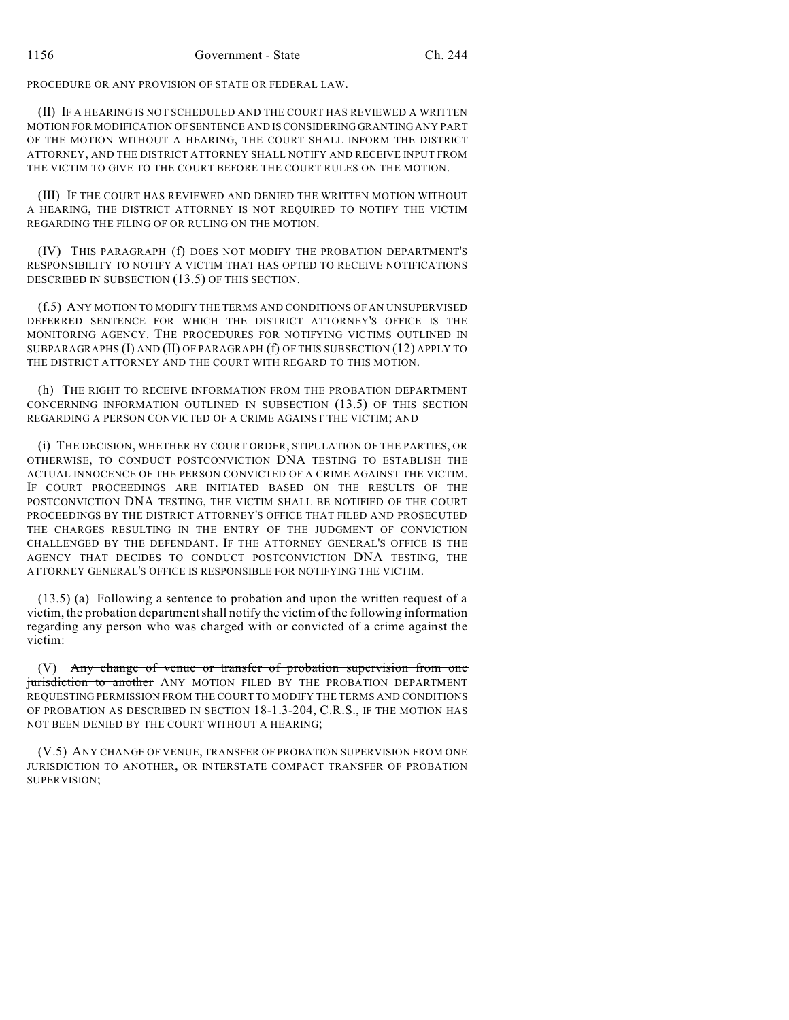PROCEDURE OR ANY PROVISION OF STATE OR FEDERAL LAW.

(II) IF A HEARING IS NOT SCHEDULED AND THE COURT HAS REVIEWED A WRITTEN MOTION FOR MODIFICATION OF SENTENCE AND IS CONSIDERING GRANTING ANY PART OF THE MOTION WITHOUT A HEARING, THE COURT SHALL INFORM THE DISTRICT ATTORNEY, AND THE DISTRICT ATTORNEY SHALL NOTIFY AND RECEIVE INPUT FROM THE VICTIM TO GIVE TO THE COURT BEFORE THE COURT RULES ON THE MOTION.

(III) IF THE COURT HAS REVIEWED AND DENIED THE WRITTEN MOTION WITHOUT A HEARING, THE DISTRICT ATTORNEY IS NOT REQUIRED TO NOTIFY THE VICTIM REGARDING THE FILING OF OR RULING ON THE MOTION.

(IV) THIS PARAGRAPH (f) DOES NOT MODIFY THE PROBATION DEPARTMENT'S RESPONSIBILITY TO NOTIFY A VICTIM THAT HAS OPTED TO RECEIVE NOTIFICATIONS DESCRIBED IN SUBSECTION (13.5) OF THIS SECTION.

(f.5) ANY MOTION TO MODIFY THE TERMS AND CONDITIONS OF AN UNSUPERVISED DEFERRED SENTENCE FOR WHICH THE DISTRICT ATTORNEY'S OFFICE IS THE MONITORING AGENCY. THE PROCEDURES FOR NOTIFYING VICTIMS OUTLINED IN SUBPARAGRAPHS (I) AND (II) OF PARAGRAPH (f) OF THIS SUBSECTION (12) APPLY TO THE DISTRICT ATTORNEY AND THE COURT WITH REGARD TO THIS MOTION.

(h) THE RIGHT TO RECEIVE INFORMATION FROM THE PROBATION DEPARTMENT CONCERNING INFORMATION OUTLINED IN SUBSECTION (13.5) OF THIS SECTION REGARDING A PERSON CONVICTED OF A CRIME AGAINST THE VICTIM; AND

(i) THE DECISION, WHETHER BY COURT ORDER, STIPULATION OF THE PARTIES, OR OTHERWISE, TO CONDUCT POSTCONVICTION DNA TESTING TO ESTABLISH THE ACTUAL INNOCENCE OF THE PERSON CONVICTED OF A CRIME AGAINST THE VICTIM. IF COURT PROCEEDINGS ARE INITIATED BASED ON THE RESULTS OF THE POSTCONVICTION DNA TESTING, THE VICTIM SHALL BE NOTIFIED OF THE COURT PROCEEDINGS BY THE DISTRICT ATTORNEY'S OFFICE THAT FILED AND PROSECUTED THE CHARGES RESULTING IN THE ENTRY OF THE JUDGMENT OF CONVICTION CHALLENGED BY THE DEFENDANT. IF THE ATTORNEY GENERAL'S OFFICE IS THE AGENCY THAT DECIDES TO CONDUCT POSTCONVICTION DNA TESTING, THE ATTORNEY GENERAL'S OFFICE IS RESPONSIBLE FOR NOTIFYING THE VICTIM.

(13.5) (a) Following a sentence to probation and upon the written request of a victim, the probation departmentshall notify the victim of the following information regarding any person who was charged with or convicted of a crime against the victim:

(V) Any change of venue or transfer of probation supervision from one jurisdiction to another ANY MOTION FILED BY THE PROBATION DEPARTMENT REQUESTING PERMISSION FROM THE COURT TO MODIFY THE TERMS AND CONDITIONS OF PROBATION AS DESCRIBED IN SECTION 18-1.3-204, C.R.S., IF THE MOTION HAS NOT BEEN DENIED BY THE COURT WITHOUT A HEARING;

(V.5) ANY CHANGE OF VENUE, TRANSFER OF PROBATION SUPERVISION FROM ONE JURISDICTION TO ANOTHER, OR INTERSTATE COMPACT TRANSFER OF PROBATION SUPERVISION;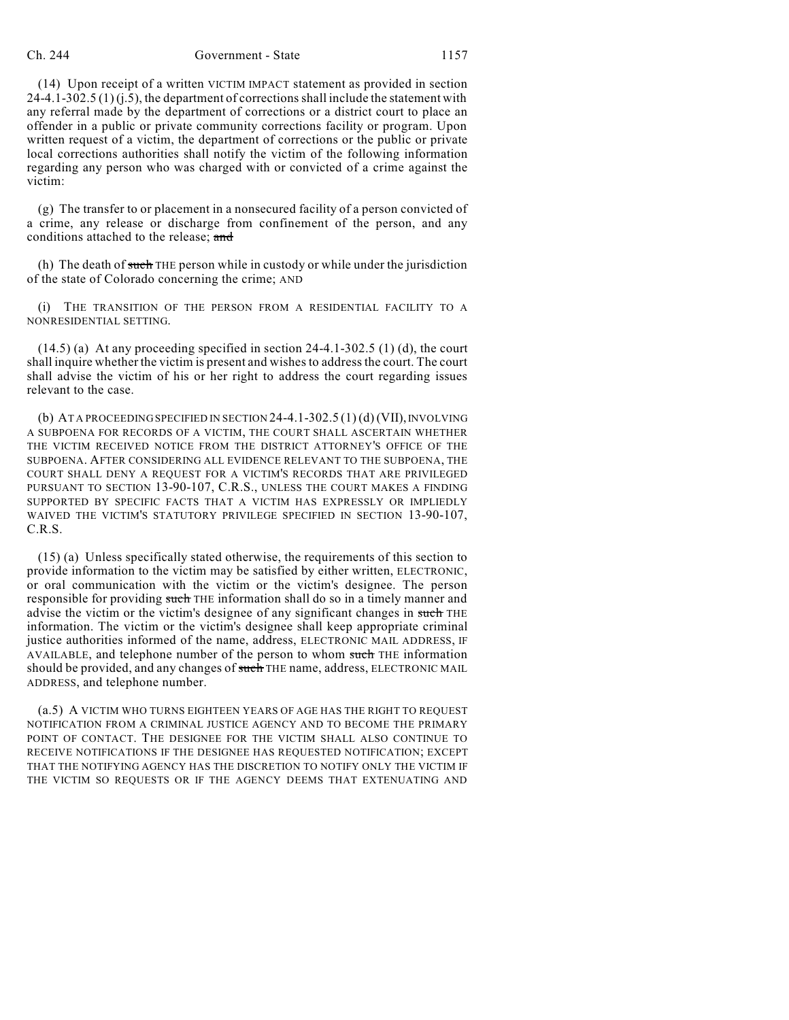## Ch. 244 Government - State 1157

(14) Upon receipt of a written VICTIM IMPACT statement as provided in section  $24-4.1-302.5(1)(i.5)$ , the department of corrections shall include the statement with any referral made by the department of corrections or a district court to place an offender in a public or private community corrections facility or program. Upon written request of a victim, the department of corrections or the public or private local corrections authorities shall notify the victim of the following information regarding any person who was charged with or convicted of a crime against the victim:

(g) The transfer to or placement in a nonsecured facility of a person convicted of a crime, any release or discharge from confinement of the person, and any conditions attached to the release; and

(h) The death of such THE person while in custody or while under the jurisdiction of the state of Colorado concerning the crime; AND

(i) THE TRANSITION OF THE PERSON FROM A RESIDENTIAL FACILITY TO A NONRESIDENTIAL SETTING.

 $(14.5)$  (a) At any proceeding specified in section 24-4.1-302.5 (1) (d), the court shall inquire whether the victim is present and wishes to address the court. The court shall advise the victim of his or her right to address the court regarding issues relevant to the case.

(b) AT A PROCEEDING SPECIFIED IN SECTION 24-4.1-302.5 (1) (d) (VII), INVOLVING A SUBPOENA FOR RECORDS OF A VICTIM, THE COURT SHALL ASCERTAIN WHETHER THE VICTIM RECEIVED NOTICE FROM THE DISTRICT ATTORNEY'S OFFICE OF THE SUBPOENA. AFTER CONSIDERING ALL EVIDENCE RELEVANT TO THE SUBPOENA, THE COURT SHALL DENY A REQUEST FOR A VICTIM'S RECORDS THAT ARE PRIVILEGED PURSUANT TO SECTION 13-90-107, C.R.S., UNLESS THE COURT MAKES A FINDING SUPPORTED BY SPECIFIC FACTS THAT A VICTIM HAS EXPRESSLY OR IMPLIEDLY WAIVED THE VICTIM'S STATUTORY PRIVILEGE SPECIFIED IN SECTION 13-90-107, C.R.S.

(15) (a) Unless specifically stated otherwise, the requirements of this section to provide information to the victim may be satisfied by either written, ELECTRONIC, or oral communication with the victim or the victim's designee. The person responsible for providing such THE information shall do so in a timely manner and advise the victim or the victim's designee of any significant changes in such THE information. The victim or the victim's designee shall keep appropriate criminal justice authorities informed of the name, address, ELECTRONIC MAIL ADDRESS, IF AVAILABLE, and telephone number of the person to whom such THE information should be provided, and any changes of such THE name, address, ELECTRONIC MAIL ADDRESS, and telephone number.

(a.5) A VICTIM WHO TURNS EIGHTEEN YEARS OF AGE HAS THE RIGHT TO REQUEST NOTIFICATION FROM A CRIMINAL JUSTICE AGENCY AND TO BECOME THE PRIMARY POINT OF CONTACT. THE DESIGNEE FOR THE VICTIM SHALL ALSO CONTINUE TO RECEIVE NOTIFICATIONS IF THE DESIGNEE HAS REQUESTED NOTIFICATION; EXCEPT THAT THE NOTIFYING AGENCY HAS THE DISCRETION TO NOTIFY ONLY THE VICTIM IF THE VICTIM SO REQUESTS OR IF THE AGENCY DEEMS THAT EXTENUATING AND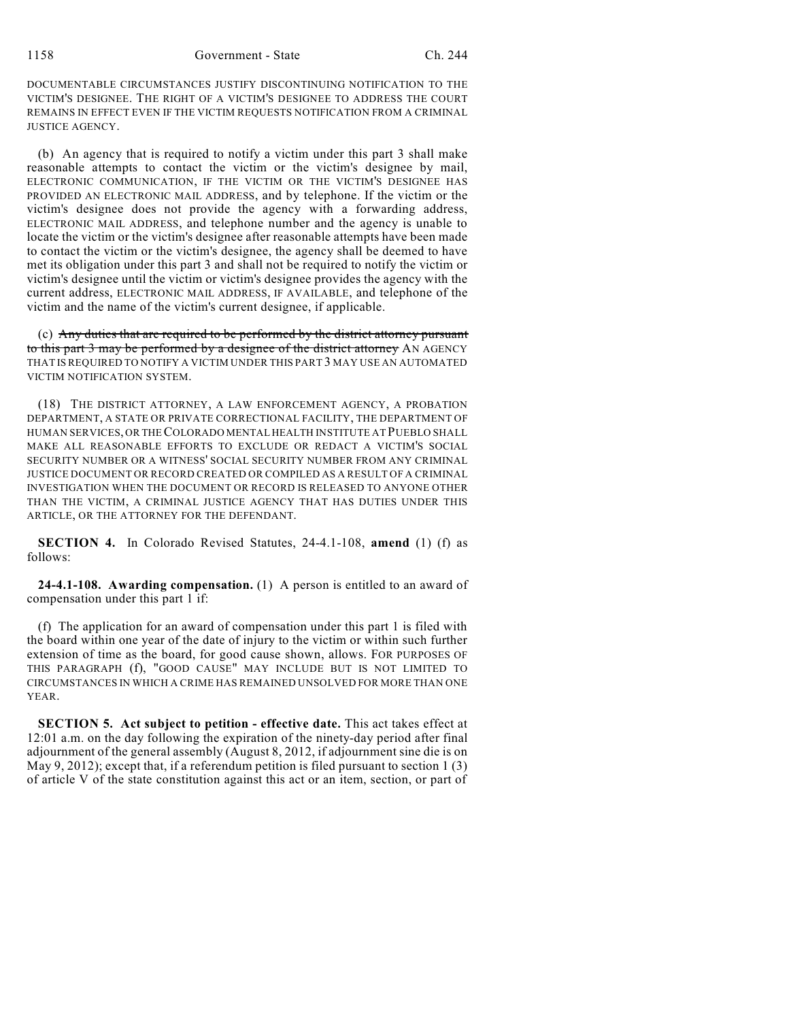DOCUMENTABLE CIRCUMSTANCES JUSTIFY DISCONTINUING NOTIFICATION TO THE VICTIM'S DESIGNEE. THE RIGHT OF A VICTIM'S DESIGNEE TO ADDRESS THE COURT REMAINS IN EFFECT EVEN IF THE VICTIM REQUESTS NOTIFICATION FROM A CRIMINAL JUSTICE AGENCY.

(b) An agency that is required to notify a victim under this part 3 shall make reasonable attempts to contact the victim or the victim's designee by mail, ELECTRONIC COMMUNICATION, IF THE VICTIM OR THE VICTIM'S DESIGNEE HAS PROVIDED AN ELECTRONIC MAIL ADDRESS, and by telephone. If the victim or the victim's designee does not provide the agency with a forwarding address, ELECTRONIC MAIL ADDRESS, and telephone number and the agency is unable to locate the victim or the victim's designee after reasonable attempts have been made to contact the victim or the victim's designee, the agency shall be deemed to have met its obligation under this part 3 and shall not be required to notify the victim or victim's designee until the victim or victim's designee provides the agency with the current address, ELECTRONIC MAIL ADDRESS, IF AVAILABLE, and telephone of the victim and the name of the victim's current designee, if applicable.

(c) Any duties that are required to be performed by the district attorney pursuant to this part 3 may be performed by a designee of the district attorney AN AGENCY THAT IS REQUIRED TO NOTIFY A VICTIM UNDER THIS PART 3 MAY USE AN AUTOMATED VICTIM NOTIFICATION SYSTEM.

(18) THE DISTRICT ATTORNEY, A LAW ENFORCEMENT AGENCY, A PROBATION DEPARTMENT, A STATE OR PRIVATE CORRECTIONAL FACILITY, THE DEPARTMENT OF HUMAN SERVICES, OR THECOLORADO MENTAL HEALTH INSTITUTE AT PUEBLO SHALL MAKE ALL REASONABLE EFFORTS TO EXCLUDE OR REDACT A VICTIM'S SOCIAL SECURITY NUMBER OR A WITNESS' SOCIAL SECURITY NUMBER FROM ANY CRIMINAL JUSTICE DOCUMENT OR RECORD CREATED OR COMPILED AS A RESULT OF A CRIMINAL INVESTIGATION WHEN THE DOCUMENT OR RECORD IS RELEASED TO ANYONE OTHER THAN THE VICTIM, A CRIMINAL JUSTICE AGENCY THAT HAS DUTIES UNDER THIS ARTICLE, OR THE ATTORNEY FOR THE DEFENDANT.

**SECTION 4.** In Colorado Revised Statutes, 24-4.1-108, **amend** (1) (f) as follows:

**24-4.1-108. Awarding compensation.** (1) A person is entitled to an award of compensation under this part 1 if:

(f) The application for an award of compensation under this part 1 is filed with the board within one year of the date of injury to the victim or within such further extension of time as the board, for good cause shown, allows. FOR PURPOSES OF THIS PARAGRAPH (f), "GOOD CAUSE" MAY INCLUDE BUT IS NOT LIMITED TO CIRCUMSTANCES IN WHICH A CRIME HAS REMAINED UNSOLVED FOR MORE THAN ONE YEAR.

**SECTION 5. Act subject to petition - effective date.** This act takes effect at 12:01 a.m. on the day following the expiration of the ninety-day period after final adjournment of the general assembly (August 8, 2012, if adjournment sine die is on May 9, 2012); except that, if a referendum petition is filed pursuant to section 1 (3) of article V of the state constitution against this act or an item, section, or part of